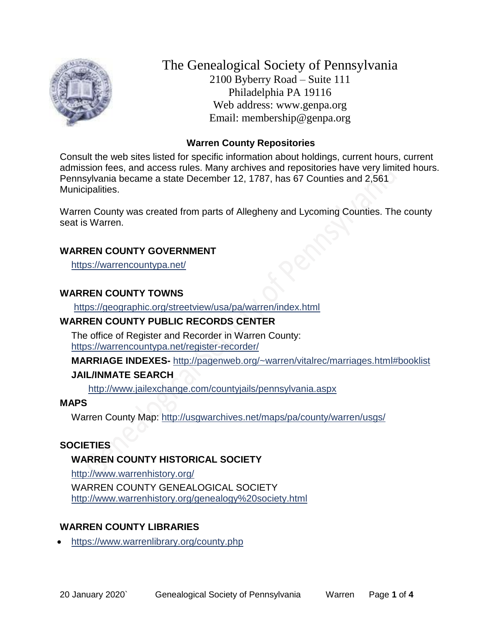

The Genealogical Society of Pennsylvania 2100 Byberry Road – Suite 111 Philadelphia PA 19116 Web address: www.genpa.org Email: membership@genpa.org

### **Warren County Repositories**

Consult the web sites listed for specific information about holdings, current hours, current admission fees, and access rules. Many archives and repositories have very limited hours. Pennsylvania became a state December 12, 1787, has 67 Counties and 2,561 Municipalities.

Warren County was created from parts of Allegheny and Lycoming Counties. The county seat is Warren.

### **WARREN COUNTY GOVERNMENT**

<https://warrencountypa.net/>

### **WARREN COUNTY TOWNS**

<https://geographic.org/streetview/usa/pa/warren/index.html>

#### **WARREN COUNTY PUBLIC RECORDS CENTER**

The office of Register and Recorder in Warren County: <https://warrencountypa.net/register-recorder/>

**MARRIAGE INDEXES-** <http://pagenweb.org/~warren/vitalrec/marriages.html#booklist>

### **JAIL/INMATE SEARCH**

<http://www.jailexchange.com/countyjails/pennsylvania.aspx>

### **MAPS**

Warren County Map:<http://usgwarchives.net/maps/pa/county/warren/usgs/>

### **SOCIETIES**

### **WARREN COUNTY HISTORICAL SOCIETY**

<http://www.warrenhistory.org/> WARREN COUNTY GENEALOGICAL SOCIETY <http://www.warrenhistory.org/genealogy%20society.html>

### **WARREN COUNTY LIBRARIES**

<https://www.warrenlibrary.org/county.php>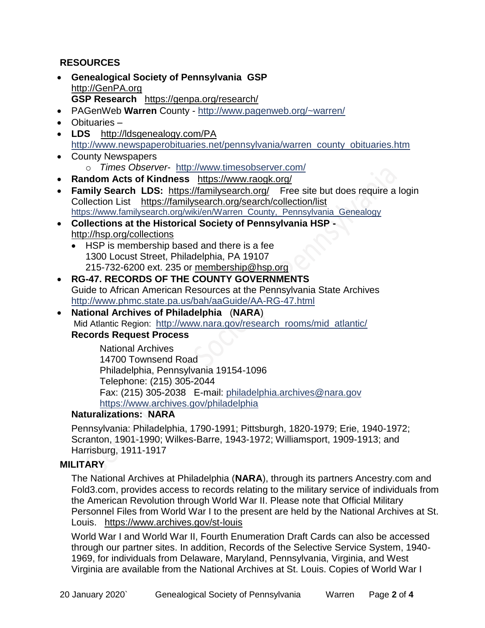## **RESOURCES**

- **Genealogical Society of Pennsylvania GSP** [http://GenPA.org](http://genpa.org/) **GSP Research** <https://genpa.org/research/>
- PAGenWeb **Warren** County <http://www.pagenweb.org/~warren/>
- Obituaries –
- LDS <http://ldsgenealogy.com/PA> [http://www.newspaperobituaries.net/pennsylvania/warren\\_county\\_obituaries.htm](http://www.newspaperobituaries.net/pennsylvania/warren_county_obituaries.htm)
- County Newspapers o *Times Observer*- <http://www.timesobserver.com/>
- **Random Acts of Kindness** <https://www.raogk.org/>
- **Family Search LDS:** <https://familysearch.org/>Free site but does require a login Collection List <https://familysearch.org/search/collection/list> [https://www.familysearch.org/wiki/en/Warren\\_County,\\_Pennsylvania\\_Genealogy](https://www.familysearch.org/wiki/en/Warren_County,_Pennsylvania_Genealogy)
- **Collections at the Historical Society of Pennsylvania HSP**  <http://hsp.org/collections>
	- HSP is membership based and there is a fee 1300 Locust Street, Philadelphia, PA 19107 215-732-6200 ext. 235 or [membership@hsp.org](mailto:membership@hsp.org)
- **RG-47. RECORDS OF THE COUNTY GOVERNMENTS** Guide to African American Resources at the Pennsylvania State Archives <http://www.phmc.state.pa.us/bah/aaGuide/AA-RG-47.html>
- **National Archives of Philadelphia** (**NARA**) Mid Atlantic Region: [http://www.nara.gov/research\\_rooms/mid\\_atlantic/](http://www.nara.gov/research_rooms/mid_atlantic/) **Records Request Process**

National Archives 14700 Townsend Road Philadelphia, Pennsylvania 19154-1096 Telephone: (215) 305-2044 Fax: (215) 305-2038 E-mail: [philadelphia.archives@nara.gov](mailto:philadelphia.archives@nara.gov) <https://www.archives.gov/philadelphia>

### **Naturalizations: NARA**

Pennsylvania: Philadelphia, 1790-1991; Pittsburgh, 1820-1979; Erie, 1940-1972; Scranton, 1901-1990; Wilkes-Barre, 1943-1972; Williamsport, 1909-1913; and Harrisburg, 1911-1917

### **MILITARY**

The National Archives at Philadelphia (**NARA**), through its partners Ancestry.com and Fold3.com, provides access to records relating to the military service of individuals from the American Revolution through World War II. Please note that Official Military Personnel Files from World War I to the present are held by the National Archives at St. Louis. <https://www.archives.gov/st-louis>

World War I and World War II, Fourth Enumeration Draft Cards can also be accessed through our partner sites. In addition, Records of the Selective Service System, 1940- 1969, for individuals from Delaware, Maryland, Pennsylvania, Virginia, and West Virginia are available from the National Archives at St. Louis. Copies of World War I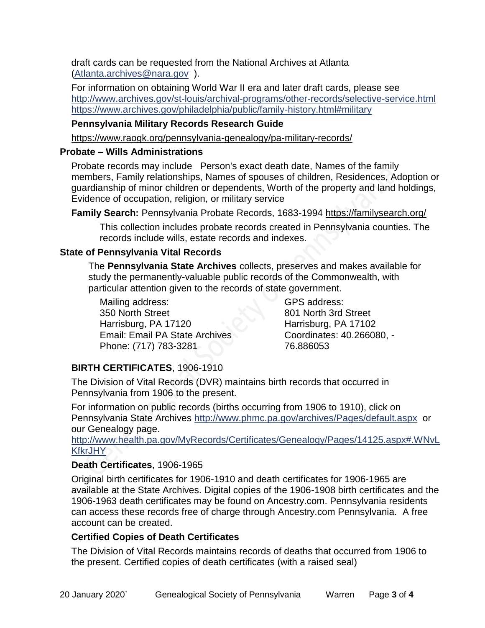draft cards can be requested from the National Archives at Atlanta [\(Atlanta.archives@nara.gov](mailto:Atlanta.archives@nara.gov) ).

For information on obtaining World War II era and later draft cards, please see <http://www.archives.gov/st-louis/archival-programs/other-records/selective-service.html> <https://www.archives.gov/philadelphia/public/family-history.html#military>

### **Pennsylvania Military Records Research Guide**

<https://www.raogk.org/pennsylvania-genealogy/pa-military-records/>

### **Probate – Wills Administrations**

Probate records may include Person's exact death date, Names of the family members, Family relationships, Names of spouses of children, Residences, Adoption or guardianship of minor children or dependents, Worth of the property and land holdings, Evidence of occupation, religion, or military service

**Family Search:** Pennsylvania Probate Records, 1683-1994 <https://familysearch.org/>

This collection includes probate records created in Pennsylvania counties. The records include wills, estate records and indexes.

### **State of Pennsylvania Vital Records**

The **Pennsylvania State Archives** collects, preserves and makes available for study the permanently-valuable public records of the Commonwealth, with particular attention given to the records of state government.

Mailing address: 350 North Street Harrisburg, PA 17120 Email: Email PA State Archives Phone: (717) 783-3281

GPS address: 801 North 3rd Street Harrisburg, PA 17102 Coordinates: 40.266080, - 76.886053

# **BIRTH CERTIFICATES**, 1906-1910

The Division of Vital Records (DVR) maintains birth records that occurred in Pennsylvania from 1906 to the present.

For information on public records (births occurring from 1906 to 1910), click on Pennsylvania State Archives <http://www.phmc.pa.gov/archives/Pages/default.aspx>or our Genealogy page.

[http://www.health.pa.gov/MyRecords/Certificates/Genealogy/Pages/14125.aspx#.WNvL](http://www.health.pa.gov/MyRecords/Certificates/Genealogy/Pages/14125.aspx#.WNvLKfkrJHY) **[KfkrJHY](http://www.health.pa.gov/MyRecords/Certificates/Genealogy/Pages/14125.aspx#.WNvLKfkrJHY)** 

### **Death Certificates**, 1906-1965

Original birth certificates for 1906-1910 and death certificates for 1906-1965 are available at the State Archives. Digital copies of the 1906-1908 birth certificates and the 1906-1963 death certificates may be found on Ancestry.com. Pennsylvania residents can access these records free of charge through Ancestry.com Pennsylvania. A free account can be created.

### **Certified Copies of Death Certificates**

The Division of Vital Records maintains records of deaths that occurred from 1906 to the present. Certified copies of death certificates (with a raised seal)